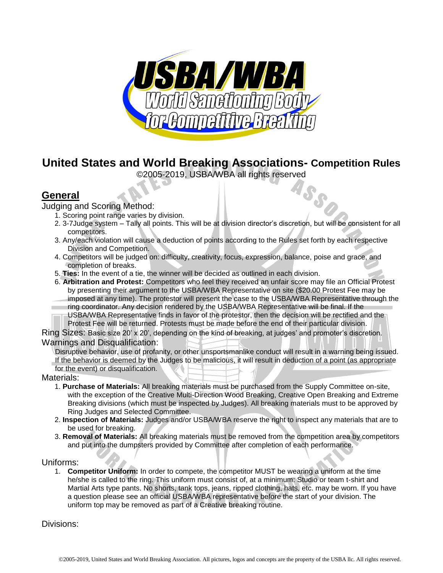

# **United States and World Breaking Associations- Competition Rules**

©2005-2019, USBA/WBA all rights reserved

# **General**

Judging and Scoring Method:

- 1. Scoring point range varies by division.
- 2. 3-7Judge system Tally all points. This will be at division director's discretion, but will be consistent for all competitors.
- 3. Any/each violation will cause a deduction of points according to the Rules set forth by each respective Division and Competition.
- 4. Competitors will be judged on: difficulty, creativity, focus, expression, balance, poise and grace, and completion of breaks.
- 5. **Ties:** In the event of a tie, the winner will be decided as outlined in each division.
- 6. **Arbitration and Protest:** Competitors who feel they received an unfair score may file an Official Protest by presenting their argument to the USBA/WBA Representative on site (\$20.00 Protest Fee may be imposed at any time). The protestor will present the case to the USBA/WBA Representative through the ring coordinator. Any decision rendered by the USBA/WBA Representative will be final. If the

USBA/WBA Representative finds in favor of the protestor, then the decision will be rectified and the Protest Fee will be returned. Protests must be made before the end of their particular division.

Ring Sizes: Basic size 20' x 20', depending on the kind of breaking, at judges' and promoter's discretion. Warnings and Disqualification:

Disruptive behavior, use of profanity, or other unsportsmanlike conduct will result in a warning being issued.

If the behavior is deemed by the Judges to be malicious, it will result in deduction of a point (as appropriate for the event) or disqualification.

Materials:

- 1. **Purchase of Materials:** All breaking materials must be purchased from the Supply Committee on-site, with the exception of the Creative Multi-Direction Wood Breaking, Creative Open Breaking and Extreme Breaking divisions (which must be inspected by Judges). All breaking materials must to be approved by Ring Judges and Selected Committee.
- 2. **Inspection of Materials:** Judges and/or USBA/WBA reserve the right to inspect any materials that are to be used for breaking.
- 3. **Removal of Materials:** All breaking materials must be removed from the competition area by competitors and put into the dumpsters provided by Committee after completion of each performance.

### Uniforms:

1. **Competitor Uniform:** In order to compete, the competitor MUST be wearing a uniform at the time he/she is called to the ring. This uniform must consist of, at a minimum: Studio or team t-shirt and Martial Arts type pants. No shorts, tank tops, jeans, ripped clothing, hats, etc. may be worn. If you have a question please see an official USBA/WBA representative before the start of your division. The uniform top may be removed as part of a Creative breaking routine.

Divisions: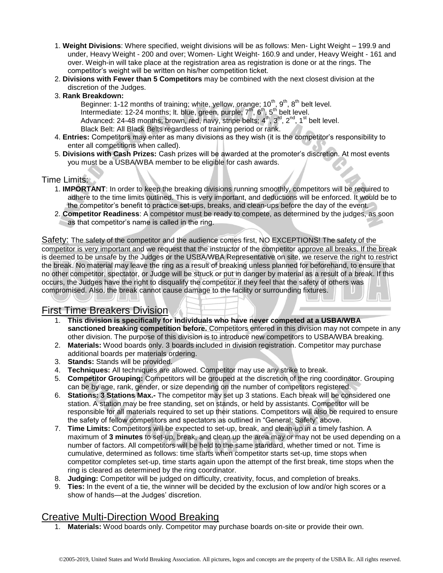- 1. **Weight Divisions**: Where specified, weight divisions will be as follows: Men- Light Weight 199.9 and under, Heavy Weight - 200 and over; Women- Light Weight- 160.9 and under, Heavy Weight - 161 and over. Weigh-in will take place at the registration area as registration is done or at the rings. The competitor's weight will be written on his/her competition ticket.
- 2. **Divisions with Fewer than 5 Competitors** may be combined with the next closest division at the discretion of the Judges.
- 3. **Rank Breakdown:**

Beginner: 1-12 months of training; white, yellow, orange;  $10^{th}$ ,  $9^{th}$ ,  $8^{th}$  belt level. Intermediate: 12-24 months; It. blue, green, purple;  $7<sup>th</sup>$ ,  $6<sup>th</sup>$ ,  $5<sup>th</sup>$  belt level. Advanced: 24-48 months; brown, red, navy, stripe belts;  $4^{\text{th}}$ ,  $3^{\text{rd}}$ ,  $2^{\text{nd}}$ ,  $1^{\text{st}}$  belt level. Black Belt: All Black Belts regardless of training period or rank.

- 4. **Entries:** Competitors may enter as many divisions as they wish (it is the competitor's responsibility to enter all competitions when called).
- 5. **Divisions with Cash Prizes:** Cash prizes will be awarded at the promoter's discretion. At most events you must be a USBA/WBA member to be eligible for cash awards.

#### Time Limits:

- 1. **IMPORTANT**: In order to keep the breaking divisions running smoothly, competitors will be required to adhere to the time limits outlined. This is very important, and deductions will be enforced. It would be to the competitor's benefit to practice set-ups, breaks, and clean-ups before the day of the event.
- 2. **Competitor Readiness**: A competitor must be ready to compete, as determined by the judges, as soon as that competitor's name is called in the ring.

Safety: The safety of the competitor and the audience comes first, NO EXCEPTIONS! The safety of the competitor is very important and we request that the instructor of the competitor approve all breaks. If the break is deemed to be unsafe by the Judges or the USBA/WBA Representative on site, we reserve the right to restrict the break. No material may leave the ring as a result of breaking unless planned for beforehand, to ensure that no other competitor, spectator, or Judge will be struck or put in danger by material as a result of a break. If this occurs, the Judges have the right to disqualify the competitor if they feel that the safety of others was compromised. Also, the break cannot cause damage to the facility or surrounding fixtures.

### First Time Breakers Division

- 1. **This division is specifically for individuals who have never competed at a USBA/WBA sanctioned breaking competition before.** Competitors entered in this division may not compete in any other division. The purpose of this division is to introduce new competitors to USBA/WBA breaking.
- 2. **Materials:** Wood boards only. 3 boards included in division registration. Competitor may purchase additional boards per materials ordering.
- 3. **Stands:** Stands will be provided.
- 4. **Techniques:** All techniques are allowed. Competitor may use any strike to break.
- 5. **Competitor Grouping:** Competitors will be grouped at the discretion of the ring coordinator. Grouping can be by age, rank, gender, or size depending on the number of competitors registered.
- 6. **Stations: 3 Stations Max.-** The competitor may set up 3 stations. Each break will be considered one station. A station may be free standing, set on stands, or held by assistants. Competitor will be responsible for all materials required to set up their stations. Competitors will also be required to ensure the safety of fellow competitors and spectators as outlined in "General: Safety" above.
- 7. **Time Limits:** Competitors will be expected to set-up, break, and clean-up in a timely fashion. A maximum of **3 minutes** to set-up, break, and clean up the area may or may not be used depending on a number of factors. All competitors will be held to the same standard, whether timed or not. Time is cumulative, determined as follows: time starts when competitor starts set-up, time stops when competitor completes set-up, time starts again upon the attempt of the first break, time stops when the ring is cleared as determined by the ring coordinator.
- 8. **Judging:** Competitor will be judged on difficulty, creativity, focus, and completion of breaks.
- 9. **Ties:** In the event of a tie, the winner will be decided by the exclusion of low and/or high scores or a show of hands—at the Judges' discretion.

# Creative Multi-Direction Wood Breaking

1. **Materials:** Wood boards only. Competitor may purchase boards on-site or provide their own.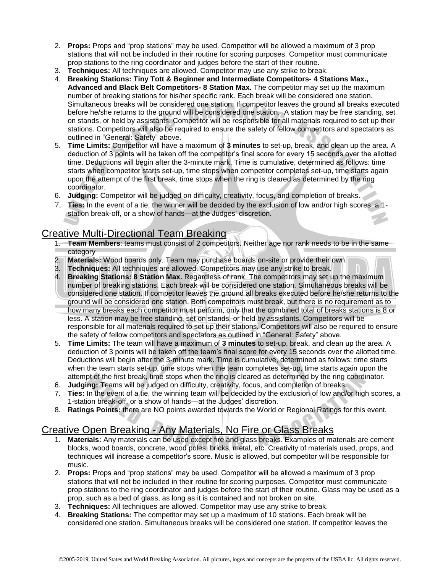- 2. **Props:** Props and "prop stations" may be used. Competitor will be allowed a maximum of 3 prop stations that will not be included in their routine for scoring purposes. Competitor must communicate prop stations to the ring coordinator and judges before the start of their routine.
- 3. **Techniques:** All techniques are allowed. Competitor may use any strike to break.
- 4. **Breaking Stations: Tiny Tott & Beginner and Intermediate Competitors- 4 Stations Max., Advanced and Black Belt Competitors- 8 Station Max.** The competitor may set up the maximum number of breaking stations for his/her specific rank. Each break will be considered one station. Simultaneous breaks will be considered one station. If competitor leaves the ground all breaks executed before he/she returns to the ground will be considered one station. A station may be free standing, set on stands, or held by assistants. Competitor will be responsible for all materials required to set up their stations. Competitors will also be required to ensure the safety of fellow competitors and spectators as outlined in "General: Safety" above.
- 5. **Time Limits:** Competitor will have a maximum of **3 minutes** to set-up, break, and clean up the area. A deduction of 3 points will be taken off the competitor's final score for every 15 seconds over the allotted time. Deductions will begin after the 3-minute mark. Time is cumulative, determined as follows: time starts when competitor starts set-up, time stops when competitor completes set-up, time starts again upon the attempt of the first break, time stops when the ring is cleared as determined by the ring coordinator.
- 6. **Judging:** Competitor will be judged on difficulty, creativity, focus, and completion of breaks.
- 7. **Ties:** In the event of a tie, the winner will be decided by the exclusion of low and/or high scores, a 1 station break-off, or a show of hands—at the Judges' discretion.

# Creative Multi-Directional Team Breaking

- 1. **Team Members**: teams must consist of 2 competitors. Neither age nor rank needs to be in the same category
- 2. **Materials:** Wood boards only. Team may purchase boards on-site or provide their own.
- 3. **Techniques:** All techniques are allowed. Competitors may use any strike to break.
- 4. **Breaking Stations: 8 Station Max.** Regardless of rank. The competitors may set up the maximum number of breaking stations. Each break will be considered one station. Simultaneous breaks will be considered one station. If competitor leaves the ground all breaks executed before he/she returns to the ground will be considered one station. Both competitors must break, but there is no requirement as to how many breaks each competitor must perform, only that the combined total of breaks stations is 8 or less. A station may be free standing, set on stands, or held by assistants. Competitors will be responsible for all materials required to set up their stations. Competitors will also be required to ensure the safety of fellow competitors and spectators as outlined in "General: Safety" above.
- 5. **Time Limits:** The team will have a maximum of **3 minutes** to set-up, break, and clean up the area. A deduction of 3 points will be taken off the team's final score for every 15 seconds over the allotted time. Deductions will begin after the 3-minute mark. Time is cumulative, determined as follows: time starts when the team starts set-up, time stops when the team completes set-up, time starts again upon the attempt of the first break, time stops when the ring is cleared as determined by the ring coordinator.
- 6. **Judging:** Teams will be judged on difficulty, creativity, focus, and completion of breaks.
- 7. **Ties:** In the event of a tie, the winning team will be decided by the exclusion of low and/or high scores, a 1-station break-off, or a show of hands—at the Judges' discretion.
- 8. **Ratings Points:** there are NO points awarded towards the World or Regional Ratings for this event.

# Creative Open Breaking - Any Materials, No Fire or Glass Breaks

- 1. **Materials:** Any materials can be used except fire and glass breaks. Examples of materials are cement blocks, wood boards, concrete, wood poles, bricks, metal, etc. Creativity of materials used, props, and techniques will increase a competitor's score. Music is allowed, but competitor will be responsible for music.
- 2. **Props:** Props and "prop stations" may be used. Competitor will be allowed a maximum of 3 prop stations that will not be included in their routine for scoring purposes. Competitor must communicate prop stations to the ring coordinator and judges before the start of their routine. Glass may be used as a prop, such as a bed of glass, as long as it is contained and not broken on site.
- 3. **Techniques:** All techniques are allowed. Competitor may use any strike to break.
- 4. **Breaking Stations:** The competitor may set up a maximum of 10 stations. Each break will be considered one station. Simultaneous breaks will be considered one station. If competitor leaves the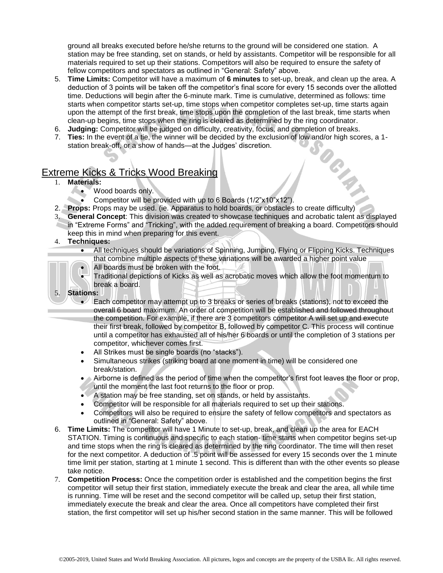ground all breaks executed before he/she returns to the ground will be considered one station. A station may be free standing, set on stands, or held by assistants. Competitor will be responsible for all materials required to set up their stations. Competitors will also be required to ensure the safety of fellow competitors and spectators as outlined in "General: Safety" above.

- 5. **Time Limits:** Competitor will have a maximum of **6 minutes** to set-up, break, and clean up the area. A deduction of 3 points will be taken off the competitor's final score for every 15 seconds over the allotted time. Deductions will begin after the 6-minute mark. Time is cumulative, determined as follows: time starts when competitor starts set-up, time stops when competitor completes set-up, time starts again upon the attempt of the first break, time stops upon the completion of the last break, time starts when clean-up begins, time stops when the ring is cleared as determined by the ring coordinator.
- 6. **Judging:** Competitor will be judged on difficulty, creativity, focus, and completion of breaks.
- 7. **Ties:** In the event of a tie, the winner will be decided by the exclusion of low and/or high scores, a 1 station break-off, or a show of hands—at the Judges' discretion. OR. A

# Extreme Kicks & Tricks Wood Breaking

- 1. **Materials:** 
	- Wood boards only.
		- Competitor will be provided with up to 6 Boards (1/2"x10"x12").
- 2. **Props:** Props may be used. (ie. Apparatus to hold boards, or obstacles to create difficulty)
- 3. **General Concept**: This division was created to showcase techniques and acrobatic talent as displayed in "Extreme Forms" and "Tricking", with the added requirement of breaking a board. Competitors should keep this in mind when preparing for this event.
- 4. **Techniques:** 
	- All techniques should be variations of Spinning, Jumping, Flying or Flipping Kicks. Techniques that combine multiple aspects of these variations will be awarded a higher point value
	- All boards must be broken with the foot.



- Traditional depictions of Kicks as well as acrobatic moves which allow the foot momentum to break a board.
- Each competitor may attempt up to 3 breaks or series of breaks (stations), not to exceed the overall 6 board maximum. An order of competition will be established and followed throughout the competition. For example, if there are 3 competitors competitor A will set up and execute their first break, followed by competitor B, followed by competitor C. This process will continue until a competitor has exhausted all of his/her 6 boards or until the completion of 3 stations per competitor, whichever comes first.
- All Strikes must be single boards (no "stacks").
- Simultaneous strikes (striking board at one moment in time) will be considered one break/station.
- Airborne is defined as the period of time when the competitor's first foot leaves the floor or prop, until the moment the last foot returns to the floor or prop.
- A station may be free standing, set on stands, or held by assistants.
- Competitor will be responsible for all materials required to set up their stations.
- Competitors will also be required to ensure the safety of fellow competitors and spectators as outlined in "General: Safety" above.
- 6. **Time Limits:** The competitor will have 1 Minute to set-up, break, and clean up the area for EACH STATION. Timing is continuous and specific to each station- time starts when competitor begins set-up and time stops when the ring is cleared as determined by the ring coordinator. The time will then reset for the next competitor. A deduction of .5 point will be assessed for every 15 seconds over the 1 minute time limit per station, starting at 1 minute 1 second. This is different than with the other events so please take notice.
- 7. **Competition Process:** Once the competition order is established and the competition begins the first competitor will setup their first station, immediately execute the break and clear the area, all while time is running. Time will be reset and the second competitor will be called up, setup their first station, immediately execute the break and clear the area. Once all competitors have completed their first station, the first competitor will set up his/her second station in the same manner. This will be followed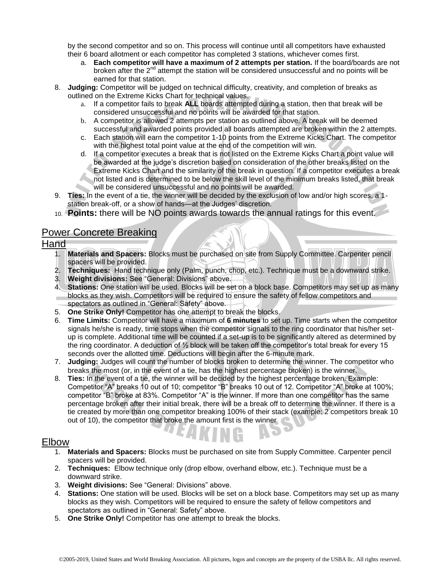by the second competitor and so on. This process will continue until all competitors have exhausted their 6 board allotment or each competitor has completed 3 stations, whichever comes first.

- a. **Each competitor will have a maximum of 2 attempts per station.** If the board/boards are not broken after the  $2<sup>nd</sup>$  attempt the station will be considered unsuccessful and no points will be earned for that station.
- 8. **Judging:** Competitor will be judged on technical difficulty, creativity, and completion of breaks as outlined on the Extreme Kicks Chart for technical values.
	- a. If a competitor fails to break **ALL** boards attempted during a station, then that break will be considered unsuccessful and no points will be awarded for that station.
	- b. A competitor is allowed 2 attempts per station as outlined above. A break will be deemed successful and awarded points provided all boards attempted are broken within the 2 attempts.
	- c. Each station will earn the competitor 1-10 points from the Extreme Kicks Chart. The competitor with the highest total point value at the end of the competition will win.
	- d. If a competitor executes a break that is not listed on the Extreme Kicks Chart a point value will be awarded at the judge's discretion based on consideration of the other breaks listed on the Extreme Kicks Chart and the similarity of the break in question. If a competitor executes a break not listed and is determined to be below the skill level of the minimum breaks listed, that break will be considered unsuccessful and no points will be awarded.
- 9. **Ties:** In the event of a tie, the winner will be decided by the exclusion of low and/or high scores, a 1 station break-off, or a show of hands—at the Judges' discretion.
- 10. **Points:** there will be NO points awards towards the annual ratings for this event.

# Power Concrete Breaking

### Hand

- 1. **Materials and Spacers:** Blocks must be purchased on site from Supply Committee. Carpenter pencil spacers will be provided.
- 2. **Techniques:** Hand technique only (Palm, punch, chop, etc.). Technique must be a downward strike.
- 3. **Weight divisions:** See "General: Divisions" above.
- 4. **Stations:** One station will be used. Blocks will be set on a block base. Competitors may set up as many blocks as they wish. Competitors will be required to ensure the safety of fellow competitors and spectators as outlined in "General: Safety" above.
- 5. **One Strike Only!** Competitor has one attempt to break the blocks.
- 6. **Time Limits:** Competitor will have a maximum of **6 minutes** to set up. Time starts when the competitor signals he/she is ready, time stops when the competitor signals to the ring coordinator that his/her setup is complete. Additional time will be counted if a set-up is to be significantly altered as determined by the ring coordinator. A deduction of ½ block will be taken off the competitor's total break for every 15 seconds over the allotted time. Deductions will begin after the 6-minute mark.
- 7. **Judging:** Judges will count the number of blocks broken to determine the winner. The competitor who breaks the most (or, in the event of a tie, has the highest percentage broken) is the winner.
- 8. **Ties:** In the event of a tie, the winner will be decided by the highest percentage broken. Example: Competitor "A" breaks 10 out of 10; competitor "B" breaks 10 out of 12. Competitor "A" broke at 100%; competitor "B" broke at 83%. Competitor "A" is the winner. If more than one competitor has the same percentage broken after their initial break, there will be a break off to determine the winner. If there is a tie created by more than one competitor breaking 100% of their stack (example: 2 competitors break 10 out of 10), the competitor that broke the amount first is the winner

### Elbow

- 1. **Materials and Spacers:** Blocks must be purchased on site from Supply Committee. Carpenter pencil spacers will be provided.
- 2. **Techniques:** Elbow technique only (drop elbow, overhand elbow, etc.). Technique must be a downward strike.
- 3. **Weight divisions:** See "General: Divisions" above.
- 4. **Stations:** One station will be used. Blocks will be set on a block base. Competitors may set up as many blocks as they wish. Competitors will be required to ensure the safety of fellow competitors and spectators as outlined in "General: Safety" above.
- 5. **One Strike Only!** Competitor has one attempt to break the blocks.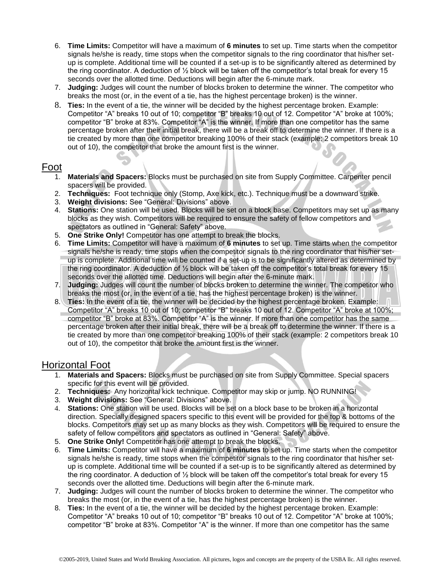- 6. **Time Limits:** Competitor will have a maximum of **6 minutes** to set up. Time starts when the competitor signals he/she is ready, time stops when the competitor signals to the ring coordinator that his/her setup is complete. Additional time will be counted if a set-up is to be significantly altered as determined by the ring coordinator. A deduction of ½ block will be taken off the competitor's total break for every 15 seconds over the allotted time. Deductions will begin after the 6-minute mark.
- 7. **Judging:** Judges will count the number of blocks broken to determine the winner. The competitor who breaks the most (or, in the event of a tie, has the highest percentage broken) is the winner.
- 8. **Ties:** In the event of a tie, the winner will be decided by the highest percentage broken. Example: Competitor "A" breaks 10 out of 10; competitor "B" breaks 10 out of 12. Competitor "A" broke at 100%; competitor "B" broke at 83%. Competitor "A" is the winner. If more than one competitor has the same percentage broken after their initial break, there will be a break off to determine the winner. If there is a tie created by more than one competitor breaking 100% of their stack (example: 2 competitors break 10 out of 10), the competitor that broke the amount first is the winner.

# Foot

- 1. **Materials and Spacers:** Blocks must be purchased on site from Supply Committee. Carpenter pencil spacers will be provided.
- 2. **Techniques:** Foot technique only (Stomp, Axe kick, etc.). Technique must be a downward strike.
- 3. **Weight divisions:** See "General: Divisions" above.
- 4. **Stations:** One station will be used. Blocks will be set on a block base. Competitors may set up as many blocks as they wish. Competitors will be required to ensure the safety of fellow competitors and spectators as outlined in "General: Safety" above.
- 5. **One Strike Only!** Competitor has one attempt to break the blocks.
- 6. **Time Limits:** Competitor will have a maximum of **6 minutes** to set up. Time starts when the competitor signals he/she is ready, time stops when the competitor signals to the ring coordinator that his/her setup is complete. Additional time will be counted if a set-up is to be significantly altered as determined by the ring coordinator. A deduction of ½ block will be taken off the competitor's total break for every 15 seconds over the allotted time. Deductions will begin after the 6-minute mark.
- 7. **Judging:** Judges will count the number of blocks broken to determine the winner. The competitor who breaks the most (or, in the event of a tie, has the highest percentage broken) is the winner.
- 8. **Ties:** In the event of a tie, the winner will be decided by the highest percentage broken. Example: Competitor "A" breaks 10 out of 10; competitor "B" breaks 10 out of 12. Competitor "A" broke at 100%; competitor "B" broke at 83%. Competitor "A" is the winner. If more than one competitor has the same percentage broken after their initial break, there will be a break off to determine the winner. If there is a tie created by more than one competitor breaking 100% of their stack (example: 2 competitors break 10 out of 10), the competitor that broke the amount first is the winner.

## Horizontal Foot

- 1. **Materials and Spacers:** Blocks must be purchased on site from Supply Committee. Special spacers specific for this event will be provided.
- 2. **Techniques:** Any horizontal kick technique. Competitor may skip or jump. NO RUNNING!
- 3. **Weight divisions:** See "General: Divisions" above.
- 4. **Stations:** One station will be used. Blocks will be set on a block base to be broken in a horizontal direction. Specially designed spacers specific to this event will be provided for the top & bottoms of the blocks. Competitors may set up as many blocks as they wish. Competitors will be required to ensure the safety of fellow competitors and spectators as outlined in "General: Safety" above.
- 5. **One Strike Only!** Competitor has one attempt to break the blocks.
- 6. **Time Limits:** Competitor will have a maximum of **6 minutes** to set up. Time starts when the competitor signals he/she is ready, time stops when the competitor signals to the ring coordinator that his/her setup is complete. Additional time will be counted if a set-up is to be significantly altered as determined by the ring coordinator. A deduction of ½ block will be taken off the competitor's total break for every 15 seconds over the allotted time. Deductions will begin after the 6-minute mark.
- 7. **Judging:** Judges will count the number of blocks broken to determine the winner. The competitor who breaks the most (or, in the event of a tie, has the highest percentage broken) is the winner.
- 8. **Ties:** In the event of a tie, the winner will be decided by the highest percentage broken. Example: Competitor "A" breaks 10 out of 10; competitor "B" breaks 10 out of 12. Competitor "A" broke at 100%; competitor "B" broke at 83%. Competitor "A" is the winner. If more than one competitor has the same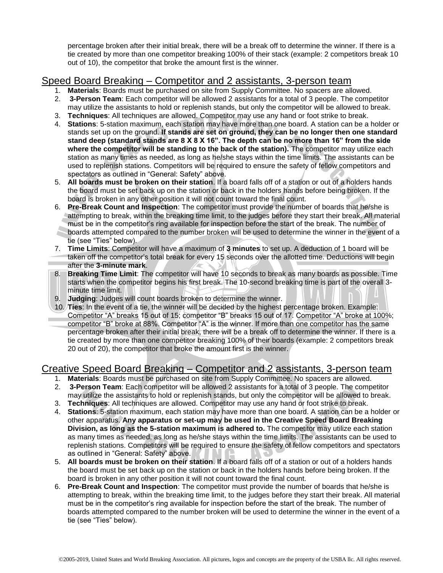percentage broken after their initial break, there will be a break off to determine the winner. If there is a tie created by more than one competitor breaking 100% of their stack (example: 2 competitors break 10 out of 10), the competitor that broke the amount first is the winner.

# Speed Board Breaking – Competitor and 2 assistants, 3-person team

- 1. **Materials**: Boards must be purchased on site from Supply Committee. No spacers are allowed.
- 2. **3-Person Team**: Each competitor will be allowed 2 assistants for a total of 3 people. The competitor may utilize the assistants to hold or replenish stands, but only the competitor will be allowed to break.
- 3. **Techniques**: All techniques are allowed. Competitor may use any hand or foot strike to break.
- 4. **Stations**: 5-station maximum, each station may have more than one board. A station can be a holder or stands set up on the ground. **If stands are set on ground, they can be no longer then one standard stand deep (standard stands are 8 X 8 X 16". The depth can be no more than 16" from the side where the competitor will be standing to the back of the station).** The competitor may utilize each station as many times as needed, as long as he/she stays within the time limits. The assistants can be used to replenish stations. Competitors will be required to ensure the safety of fellow competitors and spectators as outlined in "General: Safety" above.
- 5. **All boards must be broken on their station**. If a board falls off of a station or out of a holders hands the board must be set back up on the station or back in the holders hands before being broken. If the board is broken in any other position it will not count toward the final count.
- 6. **Pre-Break Count and Inspection**: The competitor must provide the number of boards that he/she is attempting to break, within the breaking time limit, to the judges before they start their break. All material must be in the competitor's ring available for inspection before the start of the break. The number of boards attempted compared to the number broken will be used to determine the winner in the event of a tie (see "Ties" below).
- 7. **Time Limits**: Competitor will have a maximum of **3 minutes** to set up. A deduction of 1 board will be taken off the competitor's total break for every 15 seconds over the allotted time. Deductions will begin after the **3-minute mark**.
- 8. **Breaking Time Limit**: The competitor will have 10 seconds to break as many boards as possible. Time starts when the competitor begins his first break. The 10-second breaking time is part of the overall 3 minute time limit.
- 9. **Judging**: Judges will count boards broken to determine the winner.
- 10. **Ties**: In the event of a tie, the winner will be decided by the highest percentage broken. Example: Competitor "A" breaks 15 out of 15; competitor "B" breaks 15 out of 17. Competitor "A" broke at 100%; competitor "B" broke at 88%. Competitor "A" is the winner. If more than one competitor has the same percentage broken after their initial break, there will be a break off to determine the winner. If there is a tie created by more than one competitor breaking 100% of their boards (example: 2 competitors break 20 out of 20), the competitor that broke the amount first is the winner.

# Creative Speed Board Breaking – Competitor and 2 assistants, 3-person team

- 1. **Materials**: Boards must be purchased on site from Supply Committee. No spacers are allowed.
- 2. **3-Person Team**: Each competitor will be allowed 2 assistants for a total of 3 people. The competitor may utilize the assistants to hold or replenish stands, but only the competitor will be allowed to break.
- 3. **Techniques**: All techniques are allowed. Competitor may use any hand or foot strike to break.
- 4. **Stations**: 5-station maximum, each station may have more than one board. A station can be a holder or other apparatus. **Any apparatus or set-up may be used in the Creative Speed Board Breaking Division, as long as the 5-station maximum is adhered to.** The competitor may utilize each station as many times as needed, as long as he/she stays within the time limits. The assistants can be used to replenish stations. Competitors will be required to ensure the safety of fellow competitors and spectators as outlined in "General: Safety" above.
- 5. **All boards must be broken on their station**. If a board falls off of a station or out of a holders hands the board must be set back up on the station or back in the holders hands before being broken. If the board is broken in any other position it will not count toward the final count.
- 6. **Pre-Break Count and Inspection**: The competitor must provide the number of boards that he/she is attempting to break, within the breaking time limit, to the judges before they start their break. All material must be in the competitor's ring available for inspection before the start of the break. The number of boards attempted compared to the number broken will be used to determine the winner in the event of a tie (see "Ties" below).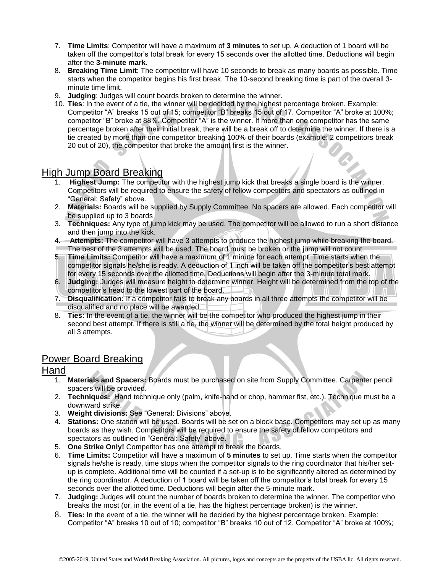- 7. **Time Limits**: Competitor will have a maximum of **3 minutes** to set up. A deduction of 1 board will be taken off the competitor's total break for every 15 seconds over the allotted time. Deductions will begin after the **3-minute mark**.
- 8. **Breaking Time Limit**: The competitor will have 10 seconds to break as many boards as possible. Time starts when the competitor begins his first break. The 10-second breaking time is part of the overall 3 minute time limit.
- 9. **Judging**: Judges will count boards broken to determine the winner.
- 10. **Ties**: In the event of a tie, the winner will be decided by the highest percentage broken. Example: Competitor "A" breaks 15 out of 15; competitor "B" breaks 15 out of 17. Competitor "A" broke at 100%; competitor "B" broke at 88%. Competitor "A" is the winner. If more than one competitor has the same percentage broken after their initial break, there will be a break off to determine the winner. If there is a tie created by more than one competitor breaking 100% of their boards (example: 2 competitors break 20 out of 20), the competitor that broke the amount first is the winner.

# High Jump Board Breaking

- 1. **Highest Jump:** The competitor with the highest jump kick that breaks a single board is the winner. Competitors will be required to ensure the safety of fellow competitors and spectators as outlined in "General: Safety" above.
- 2. **Materials:** Boards will be supplied by Supply Committee. No spacers are allowed. Each competitor will be supplied up to 3 boards
- 3. **Techniques:** Any type of jump kick may be used. The competitor will be allowed to run a short distance and then jump into the kick.
- 4. **Attempts:** The competitor will have 3 attempts to produce the highest jump while breaking the board. The best of the 3 attempts will be used. The board must be broken or the jump will not count.
- 5. **Time Limits:** Competitor will have a maximum of 1 minute for each attempt. Time starts when the competitor signals he/she is ready. A deduction of 1 inch will be taken off the competitor's best attempt for every 15 seconds over the allotted time. Deductions will begin after the 3-minute total mark.
- 6. **Judging:** Judges will measure height to determine winner. Height will be determined from the top of the competitor's head to the lowest part of the board.
- 7. **Disqualification:** If a competitor fails to break any boards in all three attempts the competitor will be disqualified and no place will be awarded.
- 8. **Ties:** In the event of a tie, the winner will be the competitor who produced the highest jump in their second best attempt. If there is still a tie, the winner will be determined by the total height produced by all 3 attempts.

## Power Board Breaking

### **Hand**

- 1. **Materials and Spacers:** Boards must be purchased on site from Supply Committee. Carpenter pencil spacers will be provided.
- 2. **Techniques:** Hand technique only (palm, knife-hand or chop, hammer fist, etc.). Technique must be a downward strike.
- 3. **Weight divisions:** See "General: Divisions" above.
- 4. **Stations:** One station will be used. Boards will be set on a block base. Competitors may set up as many boards as they wish. Competitors will be required to ensure the safety of fellow competitors and spectators as outlined in "General: Safety" above.
- 5. **One Strike Only!** Competitor has one attempt to break the boards.
- 6. **Time Limits:** Competitor will have a maximum of **5 minutes** to set up. Time starts when the competitor signals he/she is ready, time stops when the competitor signals to the ring coordinator that his/her setup is complete. Additional time will be counted if a set-up is to be significantly altered as determined by the ring coordinator. A deduction of 1 board will be taken off the competitor's total break for every 15 seconds over the allotted time. Deductions will begin after the 5-minute mark.
- 7. **Judging:** Judges will count the number of boards broken to determine the winner. The competitor who breaks the most (or, in the event of a tie, has the highest percentage broken) is the winner.
- 8. **Ties:** In the event of a tie, the winner will be decided by the highest percentage broken. Example: Competitor "A" breaks 10 out of 10; competitor "B" breaks 10 out of 12. Competitor "A" broke at 100%;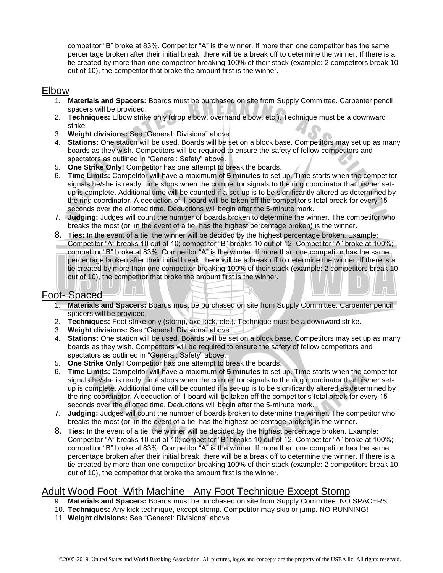competitor "B" broke at 83%. Competitor "A" is the winner. If more than one competitor has the same percentage broken after their initial break, there will be a break off to determine the winner. If there is a tie created by more than one competitor breaking 100% of their stack (example: 2 competitors break 10 out of 10), the competitor that broke the amount first is the winner.

## **Elbow**

- 1. **Materials and Spacers:** Boards must be purchased on site from Supply Committee. Carpenter pencil spacers will be provided.
- 2. **Techniques:** Elbow strike only (drop elbow, overhand elbow, etc.). Technique must be a downward strike.
- 3. **Weight divisions:** See "General: Divisions" above.
- 4. **Stations:** One station will be used. Boards will be set on a block base. Competitors may set up as many boards as they wish. Competitors will be required to ensure the safety of fellow competitors and spectators as outlined in "General: Safety" above.
- 5. **One Strike Only!** Competitor has one attempt to break the boards.
- 6. **Time Limits:** Competitor will have a maximum of **5 minutes** to set up. Time starts when the competitor signals he/she is ready, time stops when the competitor signals to the ring coordinator that his/her setup is complete. Additional time will be counted if a set-up is to be significantly altered as determined by the ring coordinator. A deduction of 1 board will be taken off the competitor's total break for every 15 seconds over the allotted time. Deductions will begin after the 5-minute mark.
- 7. **Judging:** Judges will count the number of boards broken to determine the winner. The competitor who breaks the most (or, in the event of a tie, has the highest percentage broken) is the winner.
- 8. **Ties:** In the event of a tie, the winner will be decided by the highest percentage broken. Example: Competitor "A" breaks 10 out of 10; competitor "B" breaks 10 out of 12. Competitor "A" broke at 100%; competitor "B" broke at 83%. Competitor "A" is the winner. If more than one competitor has the same percentage broken after their initial break, there will be a break off to determine the winner. If there is a tie created by more than one competitor breaking 100% of their stack (example: 2 competitors break 10 out of 10), the competitor that broke the amount first is the winner.

# Foot- Spaced

- 1. **Materials and Spacers:** Boards must be purchased on site from Supply Committee. Carpenter pencil spacers will be provided.
- 2. **Techniques:** Foot strike only (stomp, axe kick, etc.). Technique must be a downward strike.
- 3. **Weight divisions:** See "General: Divisions" above.
- 4. **Stations:** One station will be used. Boards will be set on a block base. Competitors may set up as many boards as they wish. Competitors will be required to ensure the safety of fellow competitors and spectators as outlined in "General: Safety" above.
- 5. **One Strike Only!** Competitor has one attempt to break the boards.
- 6. **Time Limits:** Competitor will have a maximum of **5 minutes** to set up. Time starts when the competitor signals he/she is ready, time stops when the competitor signals to the ring coordinator that his/her setup is complete. Additional time will be counted if a set-up is to be significantly altered as determined by the ring coordinator. A deduction of 1 board will be taken off the competitor's total break for every 15 seconds over the allotted time. Deductions will begin after the 5-minute mark.
- 7. **Judging:** Judges will count the number of boards broken to determine the winner. The competitor who breaks the most (or, in the event of a tie, has the highest percentage broken) is the winner.
- 8. **Ties:** In the event of a tie, the winner will be decided by the highest percentage broken. Example: Competitor "A" breaks 10 out of 10; competitor "B" breaks 10 out of 12. Competitor "A" broke at 100%; competitor "B" broke at 83%. Competitor "A" is the winner. If more than one competitor has the same percentage broken after their initial break, there will be a break off to determine the winner. If there is a tie created by more than one competitor breaking 100% of their stack (example: 2 competitors break 10 out of 10), the competitor that broke the amount first is the winner.

# Adult Wood Foot- With Machine - Any Foot Technique Except Stomp

- 9. **Materials and Spacers:** Boards must be purchased on site from Supply Committee. NO SPACERS!
- 10. **Techniques:** Any kick technique, except stomp. Competitor may skip or jump. NO RUNNING!
- 11. **Weight divisions:** See "General: Divisions" above.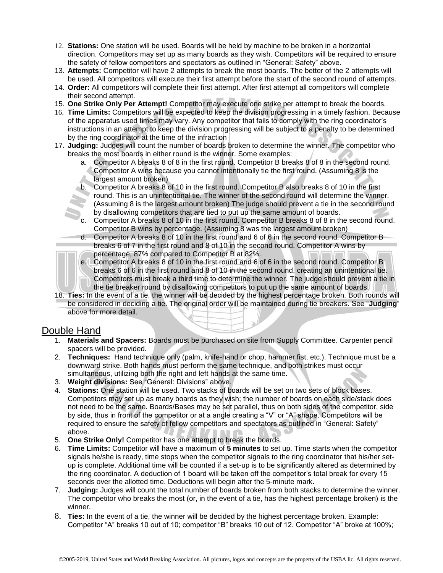- 12. **Stations:** One station will be used. Boards will be held by machine to be broken in a horizontal direction. Competitors may set up as many boards as they wish. Competitors will be required to ensure the safety of fellow competitors and spectators as outlined in "General: Safety" above.
- 13. **Attempts:** Competitor will have 2 attempts to break the most boards. The better of the 2 attempts will be used. All competitors will execute their first attempt before the start of the second round of attempts.
- 14. **Order:** All competitors will complete their first attempt. After first attempt all competitors will complete their second attempt.
- 15. **One Strike Only Per Attempt!** Competitor may execute one strike per attempt to break the boards.
- 16. **Time Limits:** Competitors will be expected to keep the division progressing in a timely fashion. Because of the apparatus used times may vary. Any competitor that fails to comply with the ring coordinator's instructions in an attempt to keep the division progressing will be subject to a penalty to be determined by the ring coordinator at the time of the infraction
- 17. **Judging:** Judges will count the number of boards broken to determine the winner. The competitor who breaks the most boards in either round is the winner. Some examples:
	- a. Competitor A breaks 8 of 8 in the first round. Competitor B breaks 8 of 8 in the second round. Competitor A wins because you cannot intentionally tie the first round. (Assuming 8 is the largest amount broken)
	- b. Competitor A breaks 8 of 10 in the first round. Competitor B also breaks 8 of 10 in the first round. This is an unintentional tie. The winner of the second round will determine the winner. (Assuming 8 is the largest amount broken) The judge should prevent a tie in the second round by disallowing competitors that are tied to put up the same amount of boards.
	- c. Competitor A breaks 8 of 10 in the first round. Competitor B breaks 8 of 8 in the second round. Competitor B wins by percentage. (Assuming 8 was the largest amount broken)
	- d. Competitor A breaks 8 of 10 in the first round and 6 of 6 in the second round. Competitor B breaks 6 of 7 in the first round and 8 of 10 in the second round. Competitor A wins by percentage, 87% compared to Competitor B at 82%.

e. Competitor A breaks 8 of 10 in the first round and 6 of 6 in the second round. Competitor B breaks 6 of 6 in the first round and 8 of 10 in the second round, creating an unintentional tie. Competitors must break a third time to determine the winner. The judge should prevent a tie in the tie breaker round by disallowing competitors to put up the same amount of boards.

18. **Ties:** In the event of a tie, the winner will be decided by the highest percentage broken. Both rounds will be considered in deciding a tie. The original order will be maintained during tie breakers. See "**Judging**" above for more detail.

# Double Hand

- 1. **Materials and Spacers:** Boards must be purchased on site from Supply Committee. Carpenter pencil spacers will be provided.
- 2. **Techniques:** Hand technique only (palm, knife-hand or chop, hammer fist, etc.). Technique must be a downward strike. Both hands must perform the same technique, and both strikes must occur simultaneous, utilizing both the right and left hands at the same time.
- 3. **Weight divisions:** See "General: Divisions" above.
- 4. **Stations:** One station will be used. Two stacks of boards will be set on two sets of block bases. Competitors may set up as many boards as they wish; the number of boards on each side/stack does not need to be the same. Boards/Bases may be set parallel, thus on both sides of the competitor, side by side, thus in front of the competitor or at a angle creating a "V" or "A" shape. Competitors will be required to ensure the safety of fellow competitors and spectators as outlined in "General: Safety" above.
- 5. **One Strike Only!** Competitor has one attempt to break the boards.
- 6. **Time Limits:** Competitor will have a maximum of **5 minutes** to set up. Time starts when the competitor signals he/she is ready, time stops when the competitor signals to the ring coordinator that his/her setup is complete. Additional time will be counted if a set-up is to be significantly altered as determined by the ring coordinator. A deduction of 1 board will be taken off the competitor's total break for every 15 seconds over the allotted time. Deductions will begin after the 5-minute mark.
- 7. **Judging:** Judges will count the total number of boards broken from both stacks to determine the winner. The competitor who breaks the most (or, in the event of a tie, has the highest percentage broken) is the winner.
- 8. **Ties:** In the event of a tie, the winner will be decided by the highest percentage broken. Example: Competitor "A" breaks 10 out of 10; competitor "B" breaks 10 out of 12. Competitor "A" broke at 100%;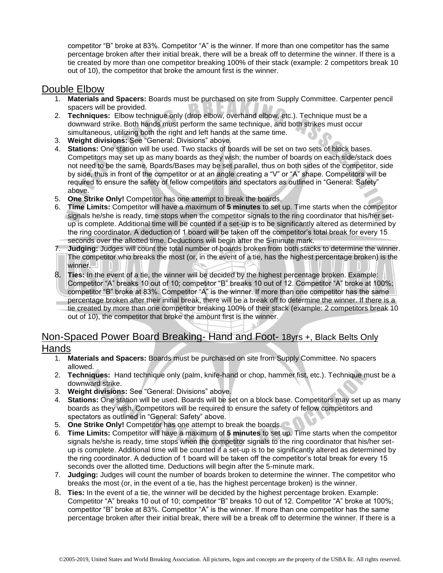competitor "B" broke at 83%. Competitor "A" is the winner. If more than one competitor has the same percentage broken after their initial break, there will be a break off to determine the winner. If there is a tie created by more than one competitor breaking 100% of their stack (example: 2 competitors break 10 out of 10), the competitor that broke the amount first is the winner.

## Double Elbow

- 1. **Materials and Spacers:** Boards must be purchased on site from Supply Committee. Carpenter pencil spacers will be provided.
- 2. **Techniques:** Elbow technique only (drop elbow, overhand elbow, etc.). Technique must be a downward strike. Both hands must perform the same technique, and both strikes must occur simultaneous, utilizing both the right and left hands at the same time.
- 3. **Weight divisions:** See "General: Divisions" above.
- 4. **Stations:** One station will be used. Two stacks of boards will be set on two sets of block bases. Competitors may set up as many boards as they wish; the number of boards on each side/stack does not need to be the same. Boards/Bases may be set parallel, thus on both sides of the competitor, side by side, thus in front of the competitor or at an angle creating a "V" or "A" shape. Competitors will be required to ensure the safety of fellow competitors and spectators as outlined in "General: Safety" above.
- 5. **One Strike Only!** Competitor has one attempt to break the boards.
- 6. **Time Limits:** Competitor will have a maximum of **5 minutes** to set up. Time starts when the competitor signals he/she is ready, time stops when the competitor signals to the ring coordinator that his/her setup is complete. Additional time will be counted if a set-up is to be significantly altered as determined by the ring coordinator. A deduction of 1 board will be taken off the competitor's total break for every 15 seconds over the allotted time. Deductions will begin after the 5-minute mark.
- 7. **Judging:** Judges will count the total number of boards broken from both stacks to determine the winner. The competitor who breaks the most (or, in the event of a tie, has the highest percentage broken) is the winner.
- 8. **Ties:** In the event of a tie, the winner will be decided by the highest percentage broken. Example: Competitor "A" breaks 10 out of 10; competitor "B" breaks 10 out of 12. Competitor "A" broke at 100%; competitor "B" broke at 83%. Competitor "A" is the winner. If more than one competitor has the same percentage broken after their initial break, there will be a break off to determine the winner. If there is a tie created by more than one competitor breaking 100% of their stack (example: 2 competitors break 10 out of 10), the competitor that broke the amount first is the winner.

# Non-Spaced Power Board Breaking- Hand and Foot- 18yrs +, Black Belts Only Hands

- 1. **Materials and Spacers:** Boards must be purchased on site from Supply Committee. No spacers allowed.
- 2. **Techniques:** Hand technique only (palm, knife-hand or chop, hammer fist, etc.). Technique must be a downward strike.
- 3. **Weight divisions:** See "General: Divisions" above.
- 4. **Stations:** One station will be used. Boards will be set on a block base. Competitors may set up as many boards as they wish. Competitors will be required to ensure the safety of fellow competitors and spectators as outlined in "General: Safety" above.
- 5. **One Strike Only!** Competitor has one attempt to break the boards.
- 6. **Time Limits:** Competitor will have a maximum of **5 minutes** to set up. Time starts when the competitor signals he/she is ready, time stops when the competitor signals to the ring coordinator that his/her setup is complete. Additional time will be counted if a set-up is to be significantly altered as determined by the ring coordinator. A deduction of 1 board will be taken off the competitor's total break for every 15 seconds over the allotted time. Deductions will begin after the 5-minute mark.
- 7. **Judging:** Judges will count the number of boards broken to determine the winner. The competitor who breaks the most (or, in the event of a tie, has the highest percentage broken) is the winner.
- 8. **Ties:** In the event of a tie, the winner will be decided by the highest percentage broken. Example: Competitor "A" breaks 10 out of 10; competitor "B" breaks 10 out of 12. Competitor "A" broke at 100%; competitor "B" broke at 83%. Competitor "A" is the winner. If more than one competitor has the same percentage broken after their initial break, there will be a break off to determine the winner. If there is a